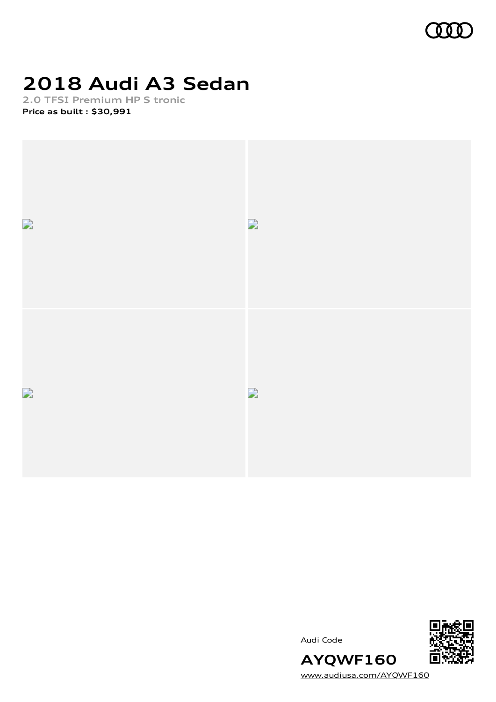

# **2018 Audi A3 Sedan**

**2.0 TFSI Premium HP S tronic Price as built [:](#page-11-0) \$30,991**



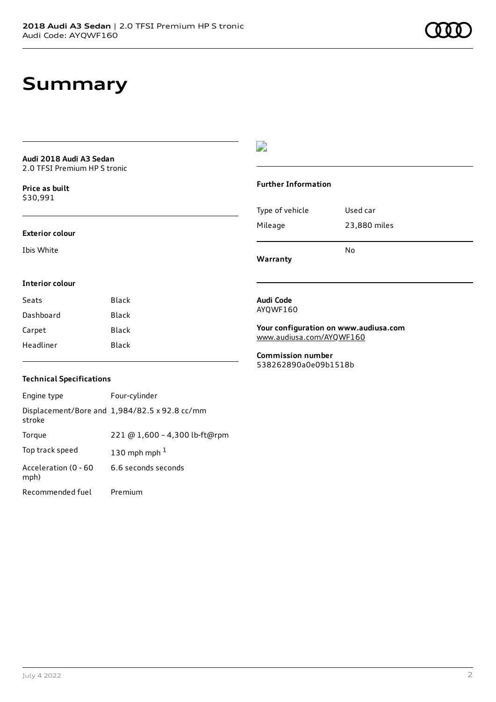# **Summary**

**Audi 2018 Audi A3 Sedan** 2.0 TFSI Premium HP S tronic

**Price as buil[t](#page-11-0)** \$30,991

#### **Exterior colour**

Ibis White

### $\overline{\phantom{a}}$

#### **Further Information**

|                 | N٥           |
|-----------------|--------------|
| Mileage         | 23,880 miles |
| Type of vehicle | Used car     |

**Warranty**

### **Interior colour**

| Seats     | Black |
|-----------|-------|
| Dashboard | Black |
| Carpet    | Black |
| Headliner | Black |

#### **Audi Code** AYQWF160

**Your configuration on www.audiusa.com** [www.audiusa.com/AYQWF160](https://www.audiusa.com/AYQWF160)

**Commission number** 538262890a0e09b1518b

### **Technical Specifications**

| Engine type                  | Four-cylinder                                 |
|------------------------------|-----------------------------------------------|
| stroke                       | Displacement/Bore and 1,984/82.5 x 92.8 cc/mm |
| Torque                       | 221 @ 1,600 - 4,300 lb-ft@rpm                 |
| Top track speed              | 130 mph mph $1$                               |
| Acceleration (0 - 60<br>mph) | 6.6 seconds seconds                           |
| Recommended fuel             | Premium                                       |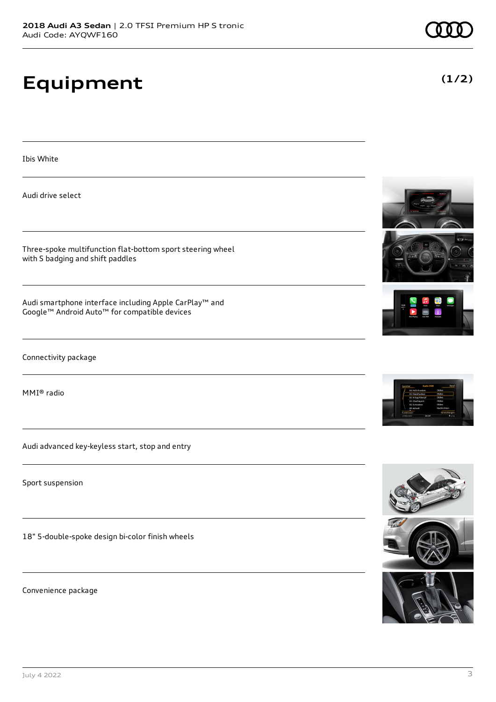# **Equipment**

Ibis White

Audi drive select

Three-spoke multifunction flat-bottom sport steering wheel with S badging and shift paddles

Audi smartphone interface including Apple CarPlay™ and Google™ Android Auto™ for compatible devices

Connectivity package

MMI® radio

Audi advanced key-keyless start, stop and entry

Sport suspension

18" 5-double-spoke design bi-color finish wheels

Convenience package

















**(1/2)**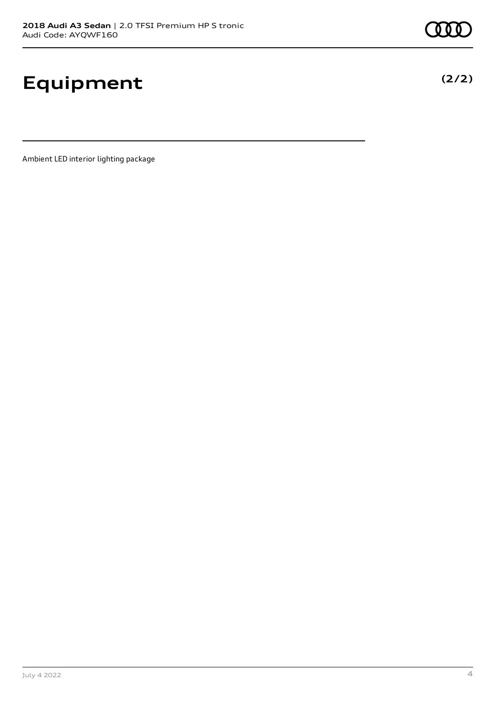# **Equipment**

Ambient LED interior lighting package



**(2/2)**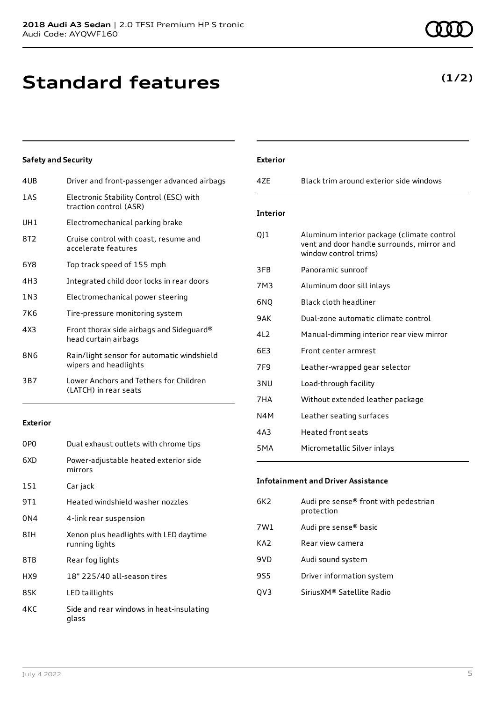# **Standard features**

### 4UB Driver and front-passenger advanced airbags

**Safety and Security**

| 1AS             | Electronic Stability Control (ESC) with<br>traction control (ASR)   |
|-----------------|---------------------------------------------------------------------|
| UH <sub>1</sub> | Electromechanical parking brake                                     |
| 8T2             | Cruise control with coast, resume and<br>accelerate features        |
| 6Y8             | Top track speed of 155 mph                                          |
| 4H3             | Integrated child door locks in rear doors                           |
| 1 N 3           | Electromechanical power steering                                    |
| 7K6             | Tire-pressure monitoring system                                     |
| 4X3             | Front thorax side airbags and Sideguard®<br>head curtain airbags    |
| 8N6             | Rain/light sensor for automatic windshield<br>wipers and headlights |
| 3B7             | Lower Anchors and Tethers for Children<br>(LATCH) in rear seats     |

#### **Exterior**

| 0P <sub>0</sub> | Dual exhaust outlets with chrome tips                    |
|-----------------|----------------------------------------------------------|
| 6XD             | Power-adjustable heated exterior side<br>mirrors         |
| 1S1             | Car jack                                                 |
| 9T 1            | Heated windshield washer nozzles                         |
| 0N4             | 4-link rear suspension                                   |
| 8TH             | Xenon plus headlights with LED daytime<br>running lights |
| 8TB             | Rear fog lights                                          |
| HX9             | 18" 225/40 all-season tires                              |
| 8SK             | LED taillights                                           |
| 4KC             | Side and rear windows in heat-insulating<br>glass        |

### July 4 2022 5

| <b>Exterior</b>  |                                                                                                                   |
|------------------|-------------------------------------------------------------------------------------------------------------------|
| 47F              | Black trim around exterior side windows                                                                           |
| <b>Interior</b>  |                                                                                                                   |
| 011              | Aluminum interior package (climate control<br>vent and door handle surrounds, mirror and<br>window control trims) |
| 3FB              | Panoramic sunroof                                                                                                 |
| 7M3              | Aluminum door sill inlays                                                                                         |
| 6NO              | Black cloth headliner                                                                                             |
| 9AK              | Dual-zone automatic climate control                                                                               |
| 412              | Manual-dimming interior rear view mirror                                                                          |
| 6E3              | Front center armrest                                                                                              |
| 7F <sub>9</sub>  | Leather-wrapped gear selector                                                                                     |
| 3 <sub>NU</sub>  | Load-through facility                                                                                             |
| 7HA              | Without extended leather package                                                                                  |
| N4M              | Leather seating surfaces                                                                                          |
| 4A3              | <b>Heated front seats</b>                                                                                         |
| 5 <sub>M</sub> A | Micrometallic Silver inlays                                                                                       |

#### **Infotainment and Driver Assistance**

| 6K2. | Audi pre sense® front with pedestrian<br>protection |
|------|-----------------------------------------------------|
| 7W1  | Audi pre sense® basic                               |
| KA2  | Rear view camera                                    |
| 9VD  | Audi sound system                                   |
| 9S5  | Driver information system                           |
| OV3  | Sirius XM® Satellite Radio                          |
|      |                                                     |

### **(1/2)**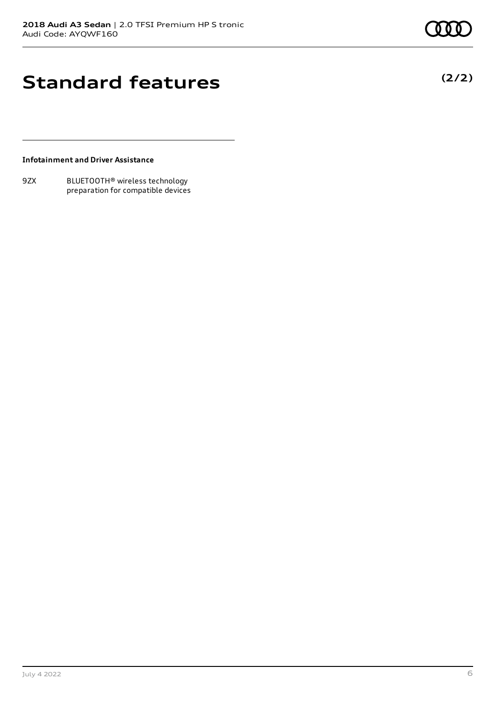**(2/2)**

# **Standard features**

**Infotainment and Driver Assistance**

9ZX BLUETOOTH® wireless technology preparation for compatible devices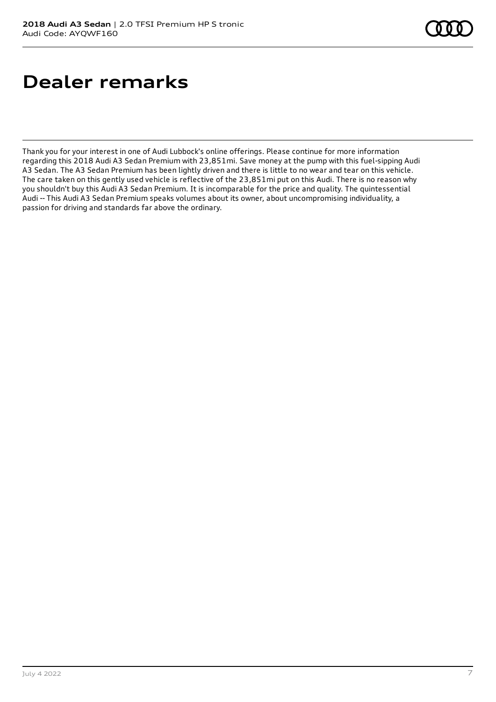# **Dealer remarks**

Thank you for your interest in one of Audi Lubbock's online offerings. Please continue for more information regarding this 2018 Audi A3 Sedan Premium with 23,851mi. Save money at the pump with this fuel-sipping Audi A3 Sedan. The A3 Sedan Premium has been lightly driven and there is little to no wear and tear on this vehicle. The care taken on this gently used vehicle is reflective of the 23,851mi put on this Audi. There is no reason why you shouldn't buy this Audi A3 Sedan Premium. It is incomparable for the price and quality. The quintessential Audi -- This Audi A3 Sedan Premium speaks volumes about its owner, about uncompromising individuality, a passion for driving and standards far above the ordinary.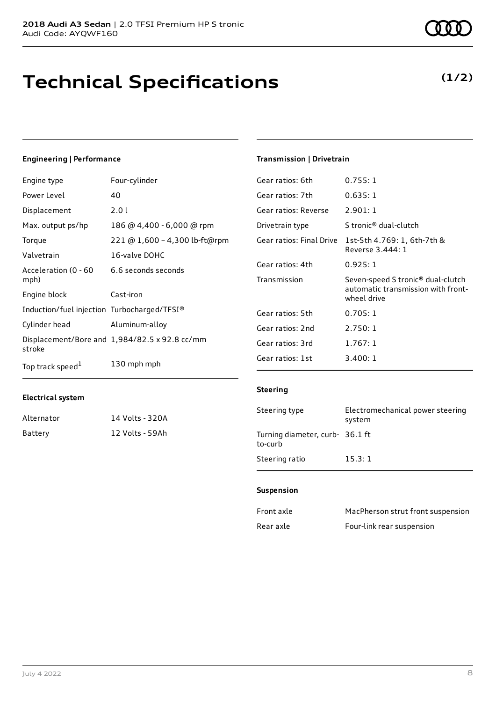# **Technical Specifications**

### **Engineering | Performance**

| Engine type                                 | Four-cylinder                                 | Gear ratios: 6th         | 0.755:1                       |
|---------------------------------------------|-----------------------------------------------|--------------------------|-------------------------------|
| Power Level                                 | 40                                            | Gear ratios: 7th         | 0.635:1                       |
| Displacement                                | 2.01                                          | Gear ratios: Reverse     | 2.901:1                       |
| Max. output ps/hp                           | 186 @ 4,400 - 6,000 @ rpm                     | Drivetrain type          | S tronic <sup>®</sup> dual    |
| Torque                                      | 221 @ 1,600 - 4,300 lb-ft@rpm                 | Gear ratios: Final Drive | 1st-5th 4.769                 |
| Valvetrain                                  | 16-valve DOHC                                 |                          | Reverse 3.444                 |
| Acceleration (0 - 60                        | 6.6 seconds seconds                           | Gear ratios: 4th         | 0.925:1                       |
| mph)                                        |                                               | Transmission             | Seven-speed S                 |
| Engine block                                | Cast-iron                                     |                          | automatic trai<br>wheel drive |
| Induction/fuel injection Turbocharged/TFSI® |                                               | Gear ratios: 5th         | 0.705:1                       |
| Cylinder head                               | Aluminum-alloy                                | Gear ratios: 2nd         | 2.750:1                       |
| stroke                                      | Displacement/Bore and 1,984/82.5 x 92.8 cc/mm | Gear ratios: 3rd         | 1.767:1                       |
| Top track speed <sup>1</sup>                | 130 mph mph                                   | Gear ratios: 1st         | 3.400:1                       |

#### **Electrical system**

| Alternator | 14 Volts - 320A |
|------------|-----------------|
| Battery    | 12 Volts - 59Ah |

### **Transmission | Drivetrain**

| Gear ratios: 6th         | 0.755:1                                                                                            |
|--------------------------|----------------------------------------------------------------------------------------------------|
| Gear ratios: 7th         | 0.635:1                                                                                            |
| Gear ratios: Reverse     | 2.901:1                                                                                            |
| Drivetrain type          | S tronic <sup>®</sup> dual-clutch                                                                  |
| Gear ratios: Final Drive | 1st-5th 4.769: 1, 6th-7th &<br>Reverse 3.444: 1                                                    |
| Gear ratios: 4th         | 0.925:1                                                                                            |
| Transmission             | Seven-speed S tronic <sup>®</sup> dual-clutch<br>automatic transmission with front-<br>wheel drive |
| Gear ratios: 5th         | 0.705:1                                                                                            |
| Gear ratios: 2nd         | 2.750:1                                                                                            |
| Gear ratios: 3rd         | 1.767:1                                                                                            |
| Gear ratios: 1st         | 3.400:1                                                                                            |

#### **Steering**

| Steering type                              | Electromechanical power steering<br>system |
|--------------------------------------------|--------------------------------------------|
| Turning diameter, curb- 36.1 ft<br>to-curb |                                            |
| Steering ratio                             | 15.3:1                                     |

#### **Suspension**

| Front axle | MacPherson strut front suspension |
|------------|-----------------------------------|
| Rear axle  | Four-link rear suspension         |

**(1/2)**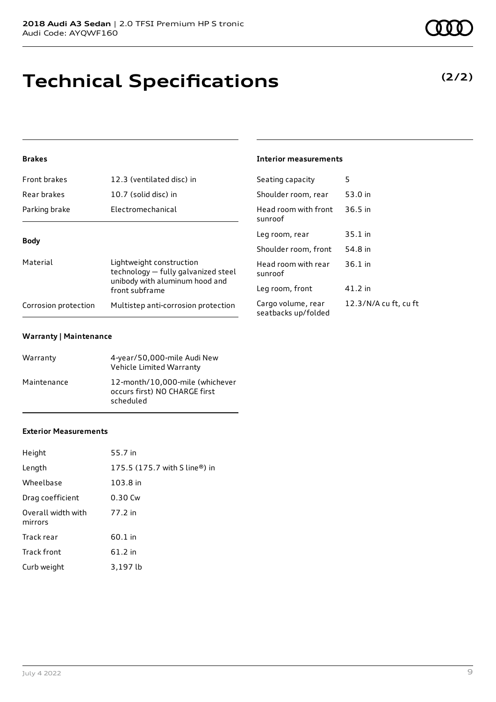# **Technical Specifications**

### **Brakes**

| <b>Front brakes</b>  | 12.3 (ventilated disc) in                                                                                           | Seating capacity                          | 5              |
|----------------------|---------------------------------------------------------------------------------------------------------------------|-------------------------------------------|----------------|
| Rear brakes          | 10.7 (solid disc) in                                                                                                | Shoulder room, rear                       | 5.             |
| Parking brake        | Electromechanical                                                                                                   | Head room with front<br>sunroof           | $\overline{3}$ |
|                      |                                                                                                                     | Leg room, rear                            | 3.             |
| <b>Body</b>          |                                                                                                                     | Shoulder room, front                      | 5,             |
| Material             | Lightweight construction<br>technology - fully galvanized steel<br>unibody with aluminum hood and<br>front subframe | Head room with rear<br>sunroof            | $\overline{3}$ |
|                      |                                                                                                                     | Leg room, front                           | $\overline{4}$ |
| Corrosion protection | Multistep anti-corrosion protection                                                                                 | Cargo volume, rear<br>seatbacks up/folded | $\mathbf{1}$   |

#### **Warranty | Maintenance**

| Warranty    | 4-year/50,000-mile Audi New<br>Vehicle Limited Warranty                       |
|-------------|-------------------------------------------------------------------------------|
| Maintenance | 12-month/10,000-mile (whichever<br>occurs first) NO CHARGE first<br>scheduled |

#### **Exterior Measurements**

| Height                        | 55.7 in                       |
|-------------------------------|-------------------------------|
| Length                        | 175.5 (175.7 with S line®) in |
| Wheelbase                     | 103.8 in                      |
| Drag coefficient              | $0.30$ Cw                     |
| Overall width with<br>mirrors | 77.2 in                       |
| Track rear                    | 60.1 in                       |
| Track front                   | 61.2 in                       |
| Curb weight                   | 3,197 lb                      |

#### **Interior measurements**

| Seating capacity                          | כ                     |
|-------------------------------------------|-----------------------|
| Shoulder room, rear                       | 53.0 in               |
| Head room with front<br>sunroof           | $36.5$ in             |
| Leg room, rear                            | 35.1 in               |
| Shoulder room, front                      | 54.8 in               |
| Head room with rear<br>sunroof            | $36.1$ in             |
| Leg room, front                           | 41.2 in               |
| Cargo volume, rear<br>seatbacks up/folded | 12.3/N/A cu ft, cu ft |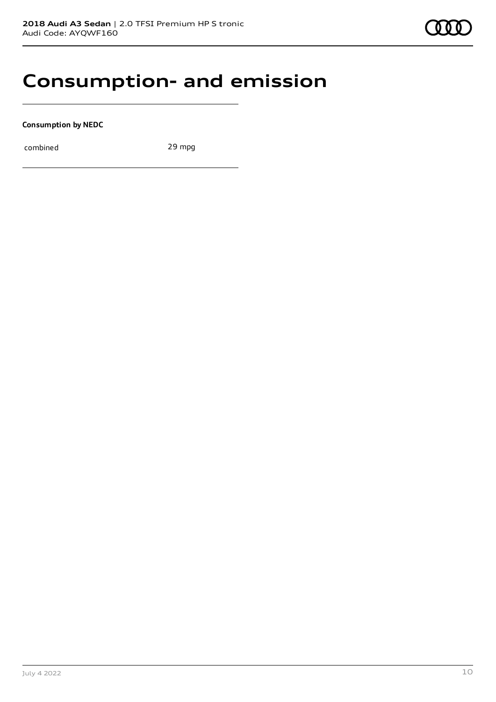## **Consumption- and emission**

**Consumption by NEDC**

combined 29 mpg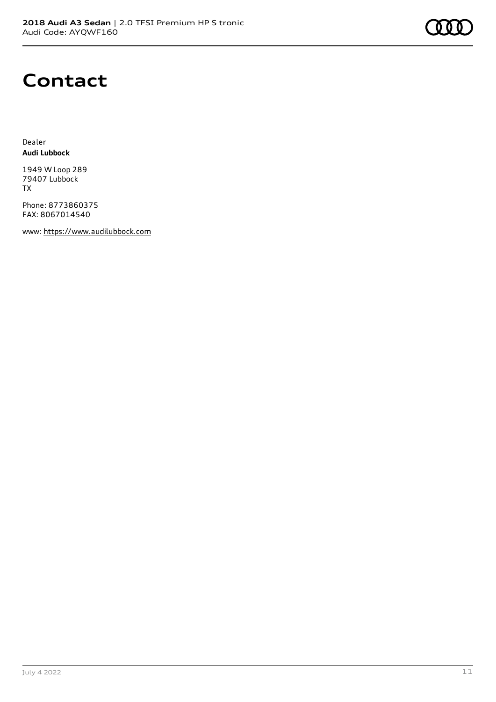

## **Contact**

Dealer **Audi Lubbock**

1949 W Loop 289 79407 Lubbock TX

Phone: 8773860375 FAX: 8067014540

www: [https://www.audilubbock.com](https://www.audilubbock.com/)